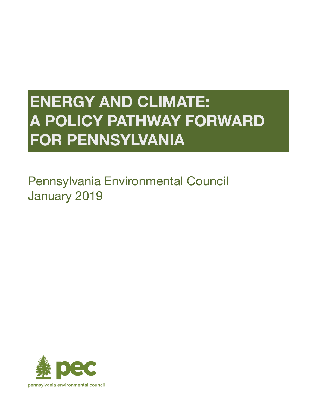# **ENERGY AND CLIMATE: A POLICY PATHWAY FORWARD FOR PENNSYLVANIA**

# Pennsylvania Environmental Council January 2019

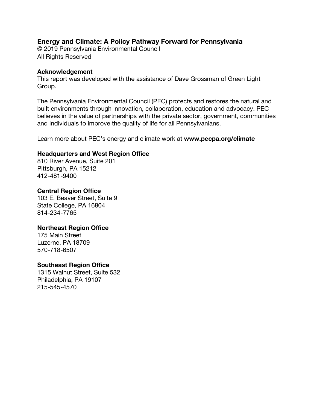#### **Energy and Climate: A Policy Pathway Forward for Pennsylvania**

© 2019 Pennsylvania Environmental Council All Rights Reserved

#### **Acknowledgement**

This report was developed with the assistance of Dave Grossman of Green Light Group.

The Pennsylvania Environmental Council (PEC) protects and restores the natural and built environments through innovation, collaboration, education and advocacy. PEC believes in the value of partnerships with the private sector, government, communities and individuals to improve the quality of life for all Pennsylvanians.

Learn more about PEC's energy and climate work at **www.pecpa.org/climate**

#### **Headquarters and West Region Office**

810 River Avenue, Suite 201 Pittsburgh, PA 15212 412-481-9400

#### **Central Region Office**

103 E. Beaver Street, Suite 9 State College, PA 16804 814-234-7765

#### **Northeast Region Office**

175 Main Street Luzerne, PA 18709 570-718-6507

#### **Southeast Region Office**

1315 Walnut Street, Suite 532 Philadelphia, PA 19107 215-545-4570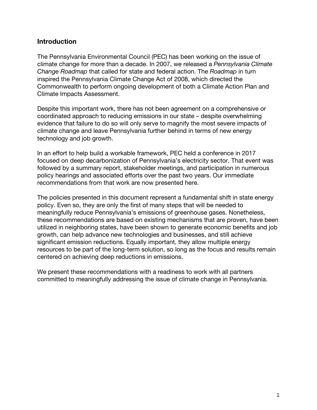#### **Introduction**

The Pennsylvania Environmental Council (PEC) has been working on the issue of climate change for more than a decade. In 2007, we released a *Pennsylvania Climate Change Roadmap* that called for state and federal action. The *Roadmap* in turn inspired the Pennsylvania Climate Change Act of 2008, which directed the Commonwealth to perform ongoing development of both a Climate Action Plan and Climate Impacts Assessment.

Despite this important work, there has not been agreement on a comprehensive or coordinated approach to reducing emissions in our state – despite overwhelming evidence that failure to do so will only serve to magnify the most severe impacts of climate change and leave Pennsylvania further behind in terms of new energy technology and job growth.

In an effort to help build a workable framework, PEC held a conference in 2017 focused on deep decarbonization of Pennsylvania's electricity sector. That event was followed by a summary report, stakeholder meetings, and participation in numerous policy hearings and associated efforts over the past two years. Our immediate recommendations from that work are now presented here.

The policies presented in this document represent a fundamental shift in state energy policy. Even so, they are only the first of many steps that will be needed to meaningfully reduce Pennsylvania's emissions of greenhouse gases. Nonetheless, these recommendations are based on existing mechanisms that are proven, have been utilized in neighboring states, have been shown to generate economic benefits and job growth, can help advance new technologies and businesses, and still achieve significant emission reductions. Equally important, they allow multiple energy resources to be part of the long-term solution, so long as the focus and results remain centered on achieving deep reductions in emissions.

We present these recommendations with a readiness to work with all partners committed to meaningfully addressing the issue of climate change in Pennsylvania.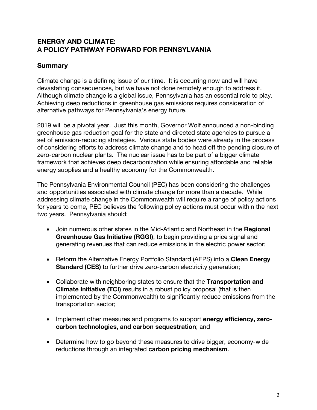# **ENERGY AND CLIMATE: A POLICY PATHWAY FORWARD FOR PENNSYLVANIA**

#### **Summary**

Climate change is a defining issue of our time. It is occurring now and will have devastating consequences, but we have not done remotely enough to address it. Although climate change is a global issue, Pennsylvania has an essential role to play. Achieving deep reductions in greenhouse gas emissions requires consideration of alternative pathways for Pennsylvania's energy future.

2019 will be a pivotal year. Just this month, Governor Wolf announced a non-binding greenhouse gas reduction goal for the state and directed state agencies to pursue a set of emission-reducing strategies. Various state bodies were already in the process of considering efforts to address climate change and to head off the pending closure of zero-carbon nuclear plants. The nuclear issue has to be part of a bigger climate framework that achieves deep decarbonization while ensuring affordable and reliable energy supplies and a healthy economy for the Commonwealth.

The Pennsylvania Environmental Council (PEC) has been considering the challenges and opportunities associated with climate change for more than a decade. While addressing climate change in the Commonwealth will require a range of policy actions for years to come, PEC believes the following policy actions must occur within the next two years. Pennsylvania should:

- Join numerous other states in the Mid-Atlantic and Northeast in the **Regional Greenhouse Gas Initiative (RGGI)**, to begin providing a price signal and generating revenues that can reduce emissions in the electric power sector;
- Reform the Alternative Energy Portfolio Standard (AEPS) into a **Clean Energy Standard (CES)** to further drive zero-carbon electricity generation;
- Collaborate with neighboring states to ensure that the **Transportation and Climate Initiative (TCI)** results in a robust policy proposal (that is then implemented by the Commonwealth) to significantly reduce emissions from the transportation sector;
- Implement other measures and programs to support **energy efficiency, zerocarbon technologies, and carbon sequestration**; and
- Determine how to go beyond these measures to drive bigger, economy-wide reductions through an integrated **carbon pricing mechanism**.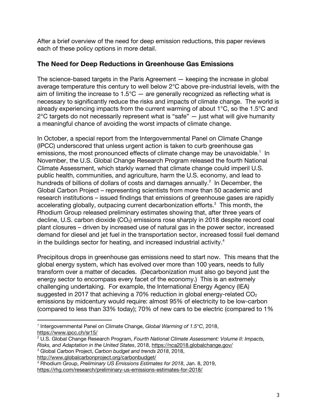After a brief overview of the need for deep emission reductions, this paper reviews each of these policy options in more detail.

## **The Need for Deep Reductions in Greenhouse Gas Emissions**

The science-based targets in the Paris Agreement — keeping the increase in global average temperature this century to well below 2°C above pre-industrial levels, with the aim of limiting the increase to  $1.5^{\circ}$ C — are generally recognized as reflecting what is necessary to significantly reduce the risks and impacts of climate change. The world is already experiencing impacts from the current warming of about 1°C, so the 1.5°C and  $2^{\circ}$ C targets do not necessarily represent what is "safe"  $-$  just what will give humanity a meaningful chance of avoiding the worst impacts of climate change.

In October, a special report from the Intergovernmental Panel on Climate Change (IPCC) underscored that unless urgent action is taken to curb greenhouse gas emissions, the most pronounced effects of climate change may be unavoidable.<sup>1</sup> In November, the U.S. Global Change Research Program released the fourth National Climate Assessment, which starkly warned that climate change could imperil U.S. public health, communities, and agriculture, harm the U.S. economy, and lead to hundreds of billions of dollars of costs and damages annually. $2$  In December, the Global Carbon Project – representing scientists from more than 50 academic and research institutions – issued findings that emissions of greenhouse gases are rapidly accelerating globally, outpacing current decarbonization efforts.<sup>3</sup> This month, the Rhodium Group released preliminary estimates showing that, after three years of decline, U.S. carbon dioxide  $(CO<sub>2</sub>)$  emissions rose sharply in 2018 despite record coal plant closures – driven by increased use of natural gas in the power sector, increased demand for diesel and jet fuel in the transportation sector, increased fossil fuel demand in the buildings sector for heating, and increased industrial activity.<sup>4</sup>

Precipitous drops in greenhouse gas emissions need to start now. This means that the global energy system, which has evolved over more than 100 years, needs to fully transform over a matter of decades. (Decarbonization must also go beyond just the energy sector to encompass every facet of the economy.) This is an extremely challenging undertaking. For example, the International Energy Agency (IEA) suggested in 2017 that achieving a 70% reduction in global energy-related  $CO<sub>2</sub>$ emissions by midcentury would require: almost 95% of electricity to be low-carbon (compared to less than 33% today); 70% of new cars to be electric (compared to 1%

http://www.globalcarbonproject.org/carbonbudget/ 4 Rhodium Group, *Preliminary US Emissions Estimates for 2018*, Jan. 8, 2019, https://rhg.com/research/preliminary-us-emissions-estimates-for-2018/

 $\overline{a}$ <sup>1</sup> Intergovernmental Panel on Climate Change, *Global Warming of 1.5°C*, 2018,

https://www.ipcc.ch/sr15/<br><sup>2</sup> U.S. Global Change Research Program, *Fourth National Climate Assessment: Volume II: Impacts, Risks, and Adaptation in the United States*, 2018, https://nca2018.globalchange.gov/ 3 Global Carbon Project, *Carbon budget and trends 2018*, 2018,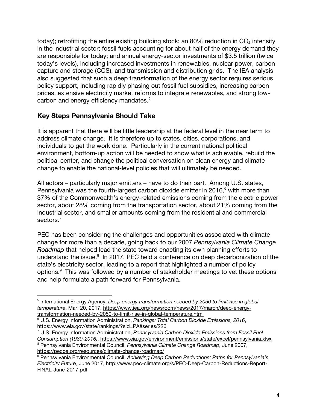today); retrofitting the entire existing building stock; an 80% reduction in  $CO<sub>2</sub>$  intensity in the industrial sector; fossil fuels accounting for about half of the energy demand they are responsible for today; and annual energy-sector investments of \$3.5 trillion (twice today's levels), including increased investments in renewables, nuclear power, carbon capture and storage (CCS), and transmission and distribution grids. The IEA analysis also suggested that such a deep transformation of the energy sector requires serious policy support, including rapidly phasing out fossil fuel subsidies, increasing carbon prices, extensive electricity market reforms to integrate renewables, and strong lowcarbon and energy efficiency mandates.<sup>5</sup>

# **Key Steps Pennsylvania Should Take**

 $\overline{a}$ 

It is apparent that there will be little leadership at the federal level in the near term to address climate change. It is therefore up to states, cities, corporations, and individuals to get the work done. Particularly in the current national political environment, bottom-up action will be needed to show what is achievable, rebuild the political center, and change the political conversation on clean energy and climate change to enable the national-level policies that will ultimately be needed.

All actors – particularly major emitters – have to do their part. Among U.S. states, Pennsylvania was the fourth-largest carbon dioxide emitter in 2016, $6$  with more than 37% of the Commonwealth's energy-related emissions coming from the electric power sector, about 28% coming from the transportation sector, about 21% coming from the industrial sector, and smaller amounts coming from the residential and commercial sectors. $^7$ 

PEC has been considering the challenges and opportunities associated with climate change for more than a decade, going back to our 2007 *Pennsylvania Climate Change Roadmap* that helped lead the state toward enacting its own planning efforts to understand the issue.<sup>8</sup> In 2017, PEC held a conference on deep decarbonization of the state's electricity sector, leading to a report that highlighted a number of policy options.<sup>9</sup> This was followed by a number of stakeholder meetings to vet these options and help formulate a path forward for Pennsylvania.

<sup>5</sup> International Energy Agency, *Deep energy transformation needed by 2050 to limit rise in global temperature*, Mar. 20, 2017, https://www.iea.org/newsroom/news/2017/march/deep-energy-<br>transformation-needed-by-2050-to-limit-rise-in-global-temperature.html

<sup>&</sup>lt;sup>6</sup> U.S. Energy Information Administration, *Rankings: Total Carbon Dioxide Emissions, 2016*,

https://www.eia.gov/state/rankings/?sid=PA#series/226<br><sup>7</sup> U.S. Energy Information Administration, *Pennsylvania Carbon Dioxide Emissions from Fossil Fuel Consumption (1980-2016)*, https://www.eia.gov/environment/emissions/state/excel/pennsylvania.xlsx 8 Pennsylvania Environmental Council, *Pennsylvania Climate Change Roadmap*, June 2007,

https://pecpa.org/resources/climate-change-roadmap/<br><sup>9</sup> Pennsylvania Environmental Council, *Achieving Deep Carbon Reductions: Paths for Pennsylvania's* 

*Electricity Future*, June 2017, http://www.pec-climate.org/s/PEC-Deep-Carbon-Reductions-Report-FINAL-June-2017.pdf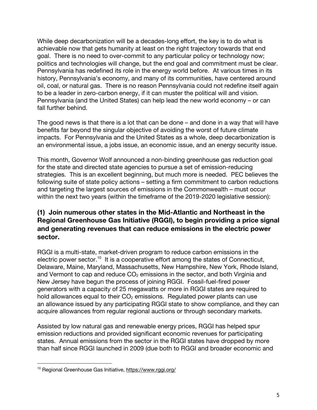While deep decarbonization will be a decades-long effort, the key is to do what is achievable now that gets humanity at least on the right trajectory towards that end goal. There is no need to over-commit to any particular policy or technology now; politics and technologies will change, but the end goal and commitment must be clear. Pennsylvania has redefined its role in the energy world before. At various times in its history, Pennsylvania's economy, and many of its communities, have centered around oil, coal, or natural gas. There is no reason Pennsylvania could not redefine itself again to be a leader in zero-carbon energy, if it can muster the political will and vision. Pennsylvania (and the United States) can help lead the new world economy – or can fall further behind.

The good news is that there is a lot that can be done – and done in a way that will have benefits far beyond the singular objective of avoiding the worst of future climate impacts. For Pennsylvania and the United States as a whole, deep decarbonization is an environmental issue, a jobs issue, an economic issue, and an energy security issue.

This month, Governor Wolf announced a non-binding greenhouse gas reduction goal for the state and directed state agencies to pursue a set of emission-reducing strategies. This is an excellent beginning, but much more is needed. PEC believes the following suite of state policy actions – setting a firm commitment to carbon reductions and targeting the largest sources of emissions in the Commonwealth – must occur within the next two years (within the timeframe of the 2019-2020 legislative session):

# **(1) Join numerous other states in the Mid-Atlantic and Northeast in the Regional Greenhouse Gas Initiative (RGGI), to begin providing a price signal and generating revenues that can reduce emissions in the electric power sector.**

RGGI is a multi-state, market-driven program to reduce carbon emissions in the electric power sector.<sup>10</sup> It is a cooperative effort among the states of Connecticut, Delaware, Maine, Maryland, Massachusetts, New Hampshire, New York, Rhode Island, and Vermont to cap and reduce  $CO<sub>2</sub>$  emissions in the sector, and both Virginia and New Jersey have begun the process of joining RGGI. Fossil-fuel-fired power generators with a capacity of 25 megawatts or more in RGGI states are required to hold allowances equal to their  $CO<sub>2</sub>$  emissions. Regulated power plants can use an allowance issued by any participating RGGI state to show compliance, and they can acquire allowances from regular regional auctions or through secondary markets.

Assisted by low natural gas and renewable energy prices, RGGI has helped spur emission reductions and provided significant economic revenues for participating states. Annual emissions from the sector in the RGGI states have dropped by more than half since RGGI launched in 2009 (due both to RGGI and broader economic and

<sup>&</sup>lt;sup>10</sup> Regional Greenhouse Gas Initiative, https://www.rggi.org/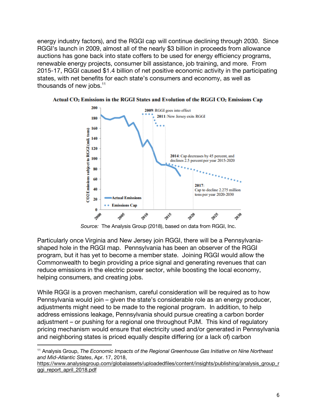energy industry factors), and the RGGI cap will continue declining through 2030. Since RGGI's launch in 2009, almost all of the nearly \$3 billion in proceeds from allowance auctions has gone back into state coffers to be used for energy efficiency programs, renewable energy projects, consumer bill assistance, job training, and more. From 2015-17, RGGI caused \$1.4 billion of net positive economic activity in the participating states, with net benefits for each state's consumers and economy, as well as thousands of new jobs. $11$ 



Actual CO<sub>2</sub> Emissions in the RGGI States and Evolution of the RGGI CO<sub>2</sub> Emissions Cap

*Source:* The Analysis Group (2018), based on data from RGGI, Inc.

Particularly once Virginia and New Jersey join RGGI, there will be a Pennsylvaniashaped hole in the RGGI map. Pennsylvania has been an observer of the RGGI program, but it has yet to become a member state. Joining RGGI would allow the Commonwealth to begin providing a price signal and generating revenues that can reduce emissions in the electric power sector, while boosting the local economy, helping consumers, and creating jobs.

While RGGI is a proven mechanism, careful consideration will be required as to how Pennsylvania would join – given the state's considerable role as an energy producer, adjustments might need to be made to the regional program. In addition, to help address emissions leakage, Pennsylvania should pursue creating a carbon border adjustment – or pushing for a regional one throughout PJM. This kind of regulatory pricing mechanism would ensure that electricity used and/or generated in Pennsylvania and neighboring states is priced equally despite differing (or a lack of) carbon

<sup>11</sup> Analysis Group, *The Economic Impacts of the Regional Greenhouse Gas Initiative on Nine Northeast and Mid-Atlantic States*, Apr. 17, 2018,

https://www.analysisgroup.com/globalassets/uploadedfiles/content/insights/publishing/analysis\_group\_r ggi\_report\_april\_2018.pdf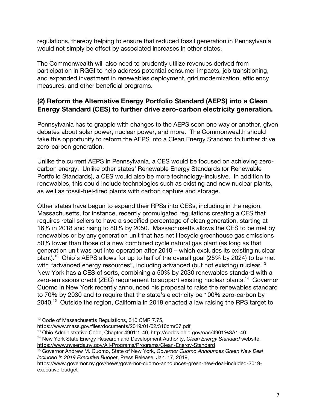regulations, thereby helping to ensure that reduced fossil generation in Pennsylvania would not simply be offset by associated increases in other states.

The Commonwealth will also need to prudently utilize revenues derived from participation in RGGI to help address potential consumer impacts, job transitioning, and expanded investment in renewables deployment, grid modernization, efficiency measures, and other beneficial programs.

# **(2) Reform the Alternative Energy Portfolio Standard (AEPS) into a Clean Energy Standard (CES) to further drive zero-carbon electricity generation.**

Pennsylvania has to grapple with changes to the AEPS soon one way or another, given debates about solar power, nuclear power, and more. The Commonwealth should take this opportunity to reform the AEPS into a Clean Energy Standard to further drive zero-carbon generation.

Unlike the current AEPS in Pennsylvania, a CES would be focused on achieving zerocarbon energy. Unlike other states' Renewable Energy Standards (or Renewable Portfolio Standards), a CES would also be more technology-inclusive. In addition to renewables, this could include technologies such as existing and new nuclear plants, as well as fossil-fuel-fired plants with carbon capture and storage.

Other states have begun to expand their RPSs into CESs, including in the region. Massachusetts, for instance, recently promulgated regulations creating a CES that requires retail sellers to have a specified percentage of clean generation, starting at 16% in 2018 and rising to 80% by 2050. Massachusetts allows the CES to be met by renewables or by any generation unit that has net lifecycle greenhouse gas emissions 50% lower than those of a new combined cycle natural gas plant (as long as that generation unit was put into operation after 2010 – which excludes its existing nuclear plant).<sup>12</sup> Ohio's AEPS allows for up to half of the overall goal (25% by 2024) to be met with "advanced energy resources", including advanced (but not existing) nuclear.<sup>13</sup> New York has a CES of sorts, combining a 50% by 2030 renewables standard with a zero-emissions credit (ZEC) requirement to support existing nuclear plants.<sup>14</sup> Governor Cuomo in New York recently announced his proposal to raise the renewables standard to 70% by 2030 and to require that the state's electricity be 100% zero-carbon by 2040.<sup>15</sup> Outside the region, California in 2018 enacted a law raising the RPS target to

<sup>&</sup>lt;sup>12</sup> Code of Massachusetts Regulations, 310 CMR 7.75,<br>https://www.mass.gov/files/documents/2019/01/02/310cmr07.pdf

<sup>&</sup>lt;sup>13</sup> Ohio Administrative Code, Chapter 4901:1-40, http://codes.ohio.gov/oac/4901%3A1-40<br><sup>14</sup> New York State Energy Research and Development Authority, *Clean Energy Standard* website,

https://www.nyserda.ny.gov/All-Programs/Programs/Clean-Energy-Standard 15 Governor Andrew M. Cuomo, State of New York, *Governor Cuomo Announces Green New Deal* 

*Included in 2019 Executive Budget*, Press Release, Jan. 17, 2019,

https://www.governor.ny.gov/news/governor-cuomo-announces-green-new-deal-included-2019 executive-budget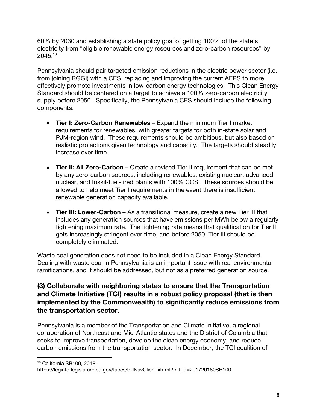60% by 2030 and establishing a state policy goal of getting 100% of the state's electricity from "eligible renewable energy resources and zero-carbon resources" by 2045.16

Pennsylvania should pair targeted emission reductions in the electric power sector (i.e., from joining RGGI) with a CES, replacing and improving the current AEPS to more effectively promote investments in low-carbon energy technologies. This Clean Energy Standard should be centered on a target to achieve a 100% zero-carbon electricity supply before 2050. Specifically, the Pennsylvania CES should include the following components:

- **Tier I: Zero-Carbon Renewables**Expand the minimum Tier I market requirements for renewables, with greater targets for both in-state solar and PJM-region wind. These requirements should be ambitious, but also based on realistic projections given technology and capacity. The targets should steadily increase over time.
- **Tier II: All Zero-Carbon**Create a revised Tier II requirement that can be met by any zero-carbon sources, including renewables, existing nuclear, advanced nuclear, and fossil-fuel-fired plants with 100% CCS. These sources should be allowed to help meet Tier I requirements in the event there is insufficient renewable generation capacity available.
- **Tier III: Lower-Carbon**As a transitional measure, create a new Tier III that includes any generation sources that have emissions per MWh below a regularly tightening maximum rate. The tightening rate means that qualification for Tier III gets increasingly stringent over time, and before 2050, Tier III should be completely eliminated.

Waste coal generation does not need to be included in a Clean Energy Standard. Dealing with waste coal in Pennsylvania is an important issue with real environmental ramifications, and it should be addressed, but not as a preferred generation source.

# **(3) Collaborate with neighboring states to ensure that the Transportation and Climate Initiative (TCI) results in a robust policy proposal (that is then implemented by the Commonwealth) to significantly reduce emissions from the transportation sector.**

Pennsylvania is a member of the Transportation and Climate Initiative, a regional collaboration of Northeast and Mid-Atlantic states and the District of Columbia that seeks to improve transportation, develop the clean energy economy, and reduce carbon emissions from the transportation sector. In December, the TCI coalition of

 $\overline{a}$ <sup>16</sup> California SB100, 2018,

https://leginfo.legislature.ca.gov/faces/billNavClient.xhtml?bill\_id=201720180SB100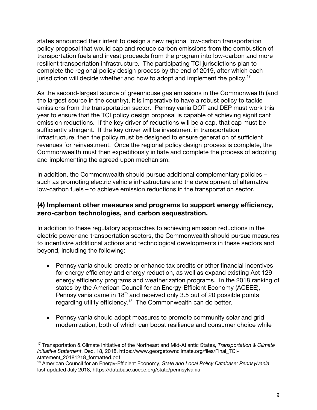states announced their intent to design a new regional low-carbon transportation policy proposal that would cap and reduce carbon emissions from the combustion of transportation fuels and invest proceeds from the program into low-carbon and more resilient transportation infrastructure. The participating TCI jurisdictions plan to complete the regional policy design process by the end of 2019, after which each jurisdiction will decide whether and how to adopt and implement the policy.<sup>17</sup>

As the second-largest source of greenhouse gas emissions in the Commonwealth (and the largest source in the country), it is imperative to have a robust policy to tackle emissions from the transportation sector. Pennsylvania DOT and DEP must work this year to ensure that the TCI policy design proposal is capable of achieving significant emission reductions. If the key driver of reductions will be a cap, that cap must be sufficiently stringent. If the key driver will be investment in transportation infrastructure, then the policy must be designed to ensure generation of sufficient revenues for reinvestment. Once the regional policy design process is complete, the Commonwealth must then expeditiously initiate and complete the process of adopting and implementing the agreed upon mechanism.

In addition, the Commonwealth should pursue additional complementary policies – such as promoting electric vehicle infrastructure and the development of alternative low-carbon fuels – to achieve emission reductions in the transportation sector.

## **(4) Implement other measures and programs to support energy efficiency, zero-carbon technologies, and carbon sequestration.**

In addition to these regulatory approaches to achieving emission reductions in the electric power and transportation sectors, the Commonwealth should pursue measures to incentivize additional actions and technological developments in these sectors and beyond, including the following:

- Pennsylvania should create or enhance tax credits or other financial incentives for energy efficiency and energy reduction, as well as expand existing Act 129 energy efficiency programs and weatherization programs. In the 2018 ranking of states by the American Council for an Energy-Efficient Economy (ACEEE), Pennsylvania came in 18<sup>th</sup> and received only 3.5 out of 20 possible points regarding utility efficiency.<sup>18</sup> The Commonwealth can do better.
- Pennsylvania should adopt measures to promote community solar and grid modernization, both of which can boost resilience and consumer choice while

<sup>17</sup> Transportation & Climate Initiative of the Northeast and Mid-Atlantic States, *Transportation & Climate Initiative Statement*, Dec. 18, 2018, https://www.georgetownclimate.org/files/Final\_TCIstatement 20181218 formatted.pdf<br><sup>18</sup> American Council for an Energy-Efficient Economy, *State and Local Policy Database: Pennsylvania*,

last updated July 2018, https://database.aceee.org/state/pennsylvania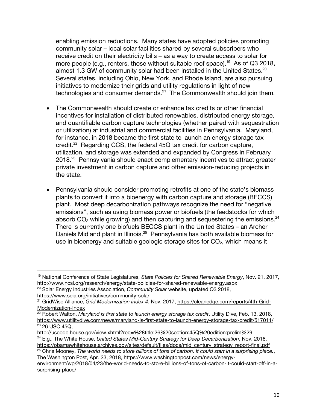enabling emission reductions. Many states have adopted policies promoting community solar – local solar facilities shared by several subscribers who receive credit on their electricity bills – as a way to create access to solar for more people (e.g., renters, those without suitable roof space).<sup>19</sup> As of Q3 2018, almost 1.3 GW of community solar had been installed in the United States.<sup>20</sup> Several states, including Ohio, New York, and Rhode Island, are also pursuing initiatives to modernize their grids and utility regulations in light of new technologies and consumer demands.<sup>21</sup> The Commonwealth should join them.

- The Commonwealth should create or enhance tax credits or other financial incentives for installation of distributed renewables, distributed energy storage, and quantifiable carbon capture technologies (whether paired with sequestration or utilization) at industrial and commercial facilities in Pennsylvania. Maryland, for instance, in 2018 became the first state to launch an energy storage tax credit. $22$  Regarding CCS, the federal 45Q tax credit for carbon capture, utilization, and storage was extended and expanded by Congress in February 2018.<sup>23</sup> Pennsylvania should enact complementary incentives to attract greater private investment in carbon capture and other emission-reducing projects in the state.
- Pennsylvania should consider promoting retrofits at one of the state's biomass plants to convert it into a bioenergy with carbon capture and storage (BECCS) plant. Most deep decarbonization pathways recognize the need for "negative emissions", such as using biomass power or biofuels (the feedstocks for which absorb  $CO<sub>2</sub>$  while growing) and then capturing and sequestering the emissions.<sup>24</sup> There is currently one biofuels BECCS plant in the United States – an Archer Daniels Midland plant in Illinois.<sup>25</sup> Pennsylvania has both available biomass for use in bioenergy and suitable geologic storage sites for  $CO<sub>2</sub>$ , which means it

 $\overline{a}$ 

https://obamawhitehouse.archives.gov/sites/default/files/docs/mid\_century\_strategy\_report-final.pdf <sup>25</sup> Chris Mooney, *The world needs to store billions of tons of carbon. It could start in a surprising place.*, The Washington Post, Apr. 23, 2018, https://www.washingtonpost.com/news/energy-

<sup>19</sup> National Conference of State Legislatures, *State Policies for Shared Renewable Energy*, Nov. 21, 2017, http://www.ncsl.org/research/energy/state-policies-for-shared-renewable-energy.aspx<br><sup>20</sup> Solar Energy Industries Association, *Community Solar* website, updated Q3 2018,

https://www.seia.org/initiatives/community-solar<br><sup>21</sup> GridWise Alliance, *Grid Modernization Index 4*, Nov. 2017, https://cleanedge.com/reports/4th-Grid-Modernization-Index<br><sup>22</sup> Robert Walton, *Maryland is first state to launch energy storage tax credit*, Utility Dive, Feb. 13, 2018,

https://www.utilitydive.com/news/maryland-is-first-state-to-launch-energy-storage-tax-credit/517011/<br><sup>23</sup> 26 USC 45Q,<br>http://uscode.house.gov/view.xhtml?req=%28title:26%20section:45Q%20edition:prelim%29

<sup>&</sup>lt;sup>24</sup> E.g., The White House. United States Mid-Century Strategy for Deep Decarbonization. Nov. 2016,

environment/wp/2018/04/23/the-world-needs-to-store-billions-of-tons-of-carbon-it-could-start-off-in-asurprising-place/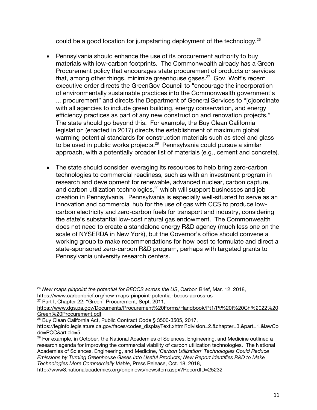could be a good location for jumpstarting deployment of the technology. $^{26}$ 

- Pennsylvania should enhance the use of its procurement authority to buy materials with low-carbon footprints. The Commonwealth already has a Green Procurement policy that encourages state procurement of products or services that, among other things, minimize greenhouse gases. $27$  Gov. Wolf's recent executive order directs the GreenGov Council to "encourage the incorporation of environmentally sustainable practices into the Commonwealth government's ... procurement" and directs the Department of General Services to "[c]oordinate with all agencies to include green building, energy conservation, and energy efficiency practices as part of any new construction and renovation projects." The state should go beyond this. For example, the Buy Clean California legislation (enacted in 2017) directs the establishment of maximum global warming potential standards for construction materials such as steel and glass to be used in public works projects.<sup>28</sup> Pennsylvania could pursue a similar approach, with a potentially broader list of materials (e.g., cement and concrete).
- The state should consider leveraging its resources to help bring zero-carbon technologies to commercial readiness, such as with an investment program in research and development for renewable, advanced nuclear, carbon capture, and carbon utilization technologies,<sup>29</sup> which will support businesses and job creation in Pennsylvania. Pennsylvania is especially well-situated to serve as an innovation and commercial hub for the use of gas with CCS to produce lowcarbon electricity and zero-carbon fuels for transport and industry, considering the state's substantial low-cost natural gas endowment. The Commonwealth does not need to create a standalone energy R&D agency (much less one on the scale of NYSERDA in New York), but the Governor's office should convene a working group to make recommendations for how best to formulate and direct a state-sponsored zero-carbon R&D program, perhaps with targeted grants to Pennsylvania university research centers.

 $\overline{a}$ <sup>26</sup> *New maps pinpoint the potential for BECCS across the US*, Carbon Brief, Mar. 12, 2018, https://www.carbonbrief.org/new-maps-pinpoint-potential-beccs-across-us <sup>27</sup> Part I, Chapter 22: "Green" Procurement, Sept. 2011,

https://www.dgs.pa.gov/Documents/Procurement%20Forms/Handbook/Pt1/Pt%20I%20Ch%2022%20 Green%20Procurement.pdf<br><sup>28</sup> Buy Clean California Act, Public Contract Code § 3500-3505, 2017,

https://leginfo.legislature.ca.gov/faces/codes\_displayText.xhtml?division=2.&chapter=3.&part=1.&lawCo de=PCC&article=5.<br><sup>29</sup> For example, in October, the National Academies of Sciences, Engineering, and Medicine outlined a

research agenda for improving the commercial viability of carbon utilization technologies. The National Academies of Sciences, Engineering, and Medicine, *'Carbon Utilization' Technologies Could Reduce Emissions by Turning Greenhouse Gases Into Useful Products; New Report Identifies R&D to Make Technologies More Commercially Viable*, Press Release, Oct. 18, 2018,

http://www8.nationalacademies.org/onpinews/newsitem.aspx?RecordID=25232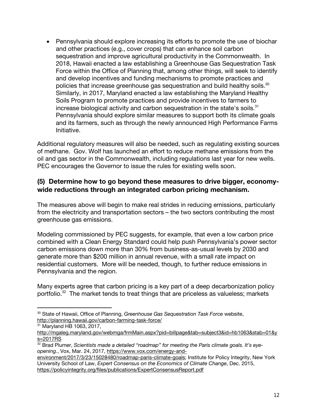• Pennsylvania should explore increasing its efforts to promote the use of biochar and other practices (e.g., cover crops) that can enhance soil carbon sequestration and improve agricultural productivity in the Commonwealth. In 2018, Hawaii enacted a law establishing a Greenhouse Gas Sequestration Task Force within the Office of Planning that, among other things, will seek to identify and develop incentives and funding mechanisms to promote practices and policies that increase greenhouse gas sequestration and build healthy soils. $30$ Similarly, in 2017, Maryland enacted a law establishing the Maryland Healthy Soils Program to promote practices and provide incentives to farmers to increase biological activity and carbon sequestration in the state's soils. $31$ Pennsylvania should explore similar measures to support both its climate goals and its farmers, such as through the newly announced High Performance Farms Initiative.

Additional regulatory measures will also be needed, such as regulating existing sources of methane. Gov. Wolf has launched an effort to reduce methane emissions from the oil and gas sector in the Commonwealth, including regulations last year for new wells. PEC encourages the Governor to issue the rules for existing wells soon.

## **(5) Determine how to go beyond these measures to drive bigger, economywide reductions through an integrated carbon pricing mechanism.**

The measures above will begin to make real strides in reducing emissions, particularly from the electricity and transportation sectors – the two sectors contributing the most greenhouse gas emissions.

Modeling commissioned by PEC suggests, for example, that even a low carbon price combined with a Clean Energy Standard could help push Pennsylvania's power sector carbon emissions down more than 30% from business-as-usual levels by 2030 and generate more than \$200 million in annual revenue, with a small rate impact on residential customers. More will be needed, though, to further reduce emissions in Pennsylvania and the region.

Many experts agree that carbon pricing is a key part of a deep decarbonization policy portfolio. $32$  The market tends to treat things that are priceless as valueless; markets

<sup>30</sup> State of Hawaii, Office of Planning, *Greenhouse Gas Sequestration Task Force* website, http://planning.hawaii.gov/carbon-farming-task-force/<br><sup>31</sup> Maryland HB 1063, 2017,

http://mgaleg.maryland.gov/webmga/frmMain.aspx?pid=billpage&tab=subject3&id=hb1063&stab=01&y s=2017RS<br><sup>32</sup> Brad Plumer, *Scientists made a detailed "roadmap" for meeting the Paris climate goals. It's eye-*

*opening.*, Vox, Mar. 24, 2017, https://www.vox.com/energy-and-

environment/2017/3/23/15028480/roadmap-paris-climate-goals; Institute for Policy Integrity, New York University School of Law, *Expert Consensus on the Economics of Climate Change*, Dec. 2015, https://policyintegrity.org/files/publications/ExpertConsensusReport.pdf